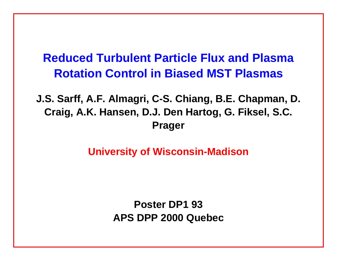# **Reduced Turbulent Particle Flux and Plasma Rotation Control in Biased MST Plasmas**

**J.S. Sarff, A.F. Almagri, C-S. Chiang, B.E. Chapman, D. Craig, A.K. Hansen, D.J. Den Hartog, G. Fiksel, S.C. Prager**

**University of Wisconsin-Madison**

**Poster DP1 93 APS DPP 2000 Quebec**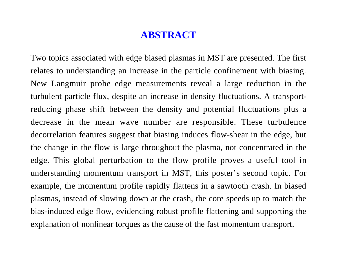### **ABSTRACT**

Two topics associated with edge biased plasmas in MST are presented. The first relates to understanding an increase in the particle confinement with biasing. New Langmuir probe edge measurements reveal a large reduction in the turbulent particle flux, despite an increase in density fluctuations. A transportreducing phase shift between the density and potential fluctuations plus a decrease in the mean wave number are responsible. These turbulence decorrelation features suggest that biasing induces flow-shear in the edge, but the change in the flow is large throughout the plasma, not concentrated in the edge. This global perturbation to the flow profile proves a useful tool in understanding momentum transport in MST, this poster's second topic. For example, the momentum profile rapidly flattens in a sawtooth crash. In biased plasmas, instead of slowing down at the crash, the core speeds up to match the bias-induced edge flow, evidencing robust profile flattening and supporting the explanation of nonlinear torques as the cause of the fast momentum transport.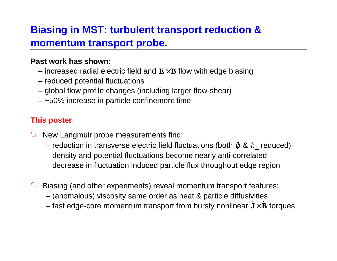# **Biasing in MST: turbulent transport reduction & momentum transport probe.**

#### **Past work has shown**:

- $-$  increased radial electric field and  $\mathbf{E} \times \mathbf{B}$  flow with edge biasing
- reduced potential fluctuations
- global flow profile changes (including larger flow-shear)
- $-$  ~50% increase in particle confinement time

#### **This poster**:

☞ New Langmuir probe measurements find:

- reduction in transverse electric field fluctuations (both ϕ˜ & *k*⊥ reduced)
- density and potential fluctuations become nearly anti-correlated
- decrease in fluctuation induced particle flux throughout edge region

☞ Biasing (and other experiments) reveal momentum transport features:

- (anomalous) viscosity same order as heat & particle diffusivities
- fast edge-core momentum transport from bursty nonlinear  $\tilde{\mathbf{J}}\times\tilde{\mathbf{B}}$  torques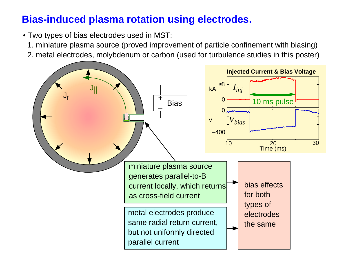# **Bias-induced plasma rotation using electrodes.**

- Two types of bias electrodes used in MST:
	- 1. miniature plasma source (proved improvement of particle confinement with biasing)
	- 2. metal electrodes, molybdenum or carbon (used for turbulence studies in this poster)

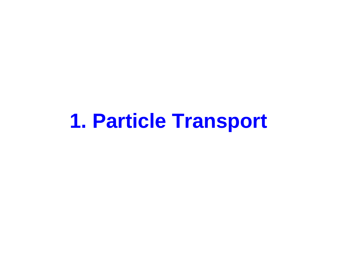# **1. Particle Transport**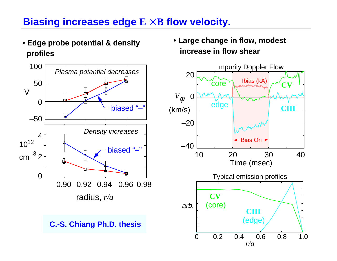### **Biasing increases edge E** × **B flow velocity.**

**• Edge probe potential & density profiles**



**C.-S. Chiang Ph.D. thesis**

**• Large change in flow, modest increase in flow shear**

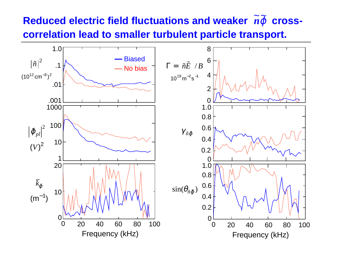# $\textbf{Reduced electric field fluctuations}$  and weaker  $\langle \widetilde{n}\,\widetilde{\varphi}\rangle$  cross**correlation lead to smaller turbulent particle transport.**

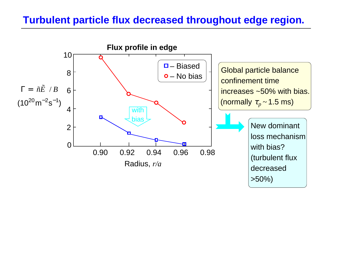### **Turbulent particle flux decreased throughout edge region.**

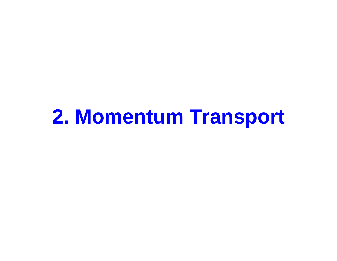# **2. Momentum Transport**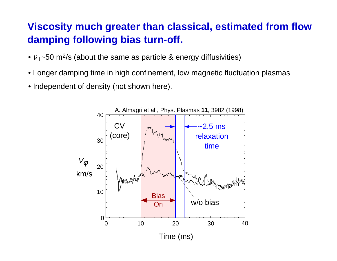# **Viscosity much greater than classical, estimated from flow damping following bias turn-off.**

- $v_\perp$ ~50 m<sup>2</sup>/s (about the same as particle & energy diffusivities)
- Longer damping time in high confinement, low magnetic fluctuation plasmas
- Independent of density (not shown here).

![](_page_9_Figure_4.jpeg)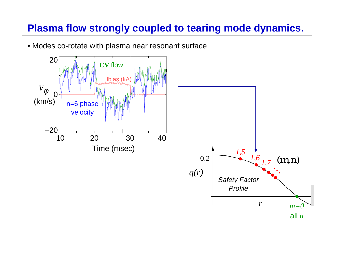# **Plasma flow strongly coupled to tearing mode dynamics.**

• Modes co-rotate with plasma near resonant surface

![](_page_10_Figure_2.jpeg)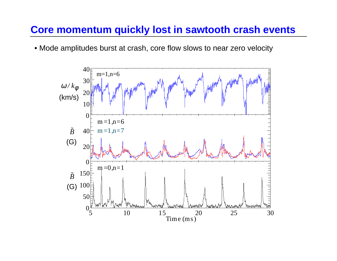### **Core momentum quickly lost in sawtooth crash events**

• Mode amplitudes burst at crash, core flow slows to near zero velocity

![](_page_11_Figure_2.jpeg)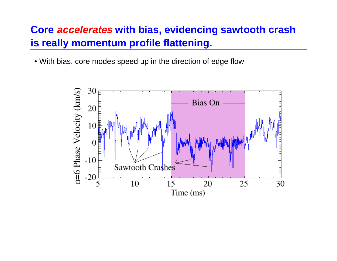## **Core accelerates with bias, evidencing sawtooth crash is really momentum profile flattening.**

• With bias, core modes speed up in the direction of edge flow

![](_page_12_Figure_2.jpeg)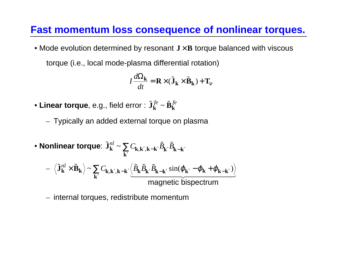### **Fast momentum loss consequence of nonlinear torques.**

• Mode evolution determined by resonant  $J \times B$  torque balanced with viscous torque (i.e., local mode-plasma differential rotation)

$$
I\frac{d\Omega_{\mathbf{k}}}{dt} = \mathbf{R} \times (\tilde{\mathbf{J}}_{\mathbf{k}} \times \tilde{\mathbf{B}}_{\mathbf{k}}) + \mathbf{T}_{v}
$$

- $\bullet$  Linear torque, e.g., field error :  $\tilde{{\bf J}}_{{\bf k}}^{fe} \sim {\bf \tilde{B}}$ ˜ $k \sim \mathbf{p}$ *fe fe*
	- Typically an added external torque on plasma

• Nonlinear torque: 
$$
\tilde{J}_{k}^{nl} \sim \sum_{k'} C_{k,k',k-k'} \tilde{B}_{k'} \tilde{B}_{k-k'}
$$
  
\n
$$
- \langle \tilde{J}_{k}^{nl} \times \tilde{B}_{k} \rangle \sim \sum_{k'} C_{k,k',k-k'} \langle \tilde{B}_{k} \tilde{B}_{k'} \tilde{B}_{k-k'} \sin(\varphi_{k'} - \varphi_{k} + \varphi_{k-k'}) \rangle
$$
\nmagnetic biseetrum

– internal torques, redistribute momentum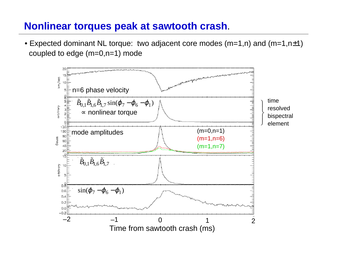### **Nonlinear torques peak at sawtooth crash**.

 $\bullet$  Expected dominant NL torque: two adjacent core modes (m=1,n) and (m=1,n $\pm$ 1) coupled to edge (m=0,n=1) mode

![](_page_14_Figure_2.jpeg)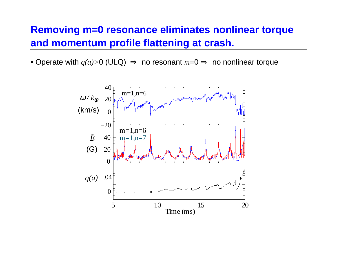### **Removing m=0 resonance eliminates nonlinear torque and momentum profile flattening at crash.**

• Operate with *q(a)>*0 (ULQ) ⇒ no resonant *<sup>m</sup>*=0 ⇒ no nonlinear torque

![](_page_15_Figure_2.jpeg)